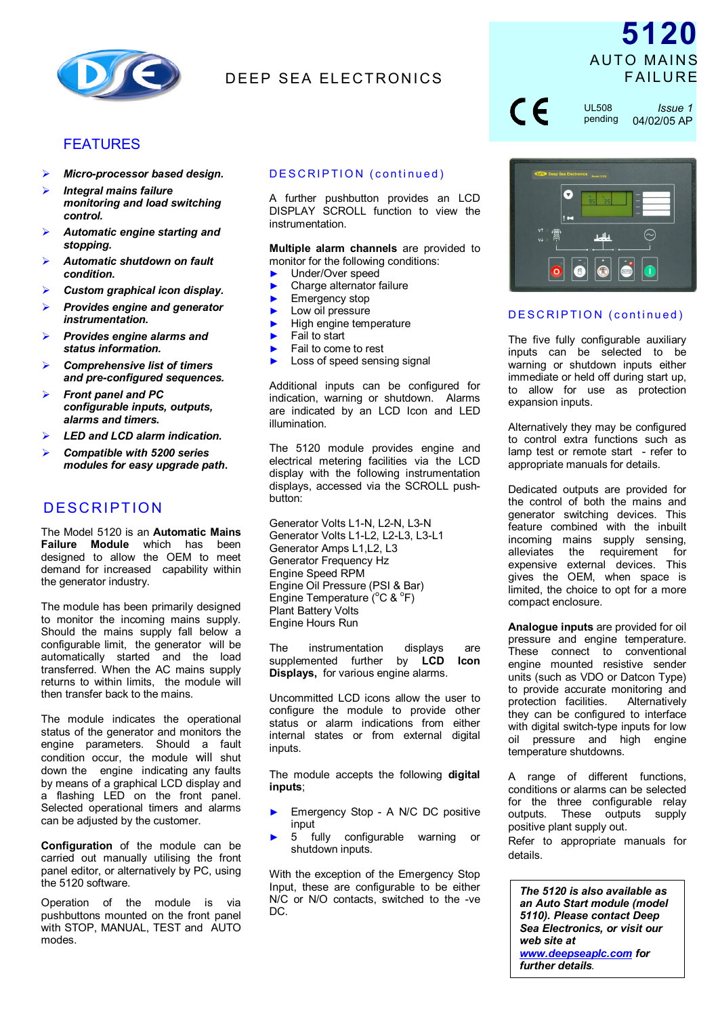

## DEEP SEA ELECTRONICS

### FEATURES

- *Micro-processor based design.*
- *Integral mains failure monitoring and load switching control.*
- *Automatic engine starting and stopping.*
- *Automatic shutdown on fault condition.*
- *Custom graphical icon display.*
- *Provides engine and generator instrumentation.*
- *Provides engine alarms and status information.*
- *Comprehensive list of timers and pre-configured sequences.*
- *Front panel and PC configurable inputs, outputs, alarms and timers.*
- *LED and LCD alarm indication.*
- *Compatible with 5200 series modules for easy upgrade path***.**

### **DESCRIPTION**

The Model 5120 is an **Automatic Mains Failure Module** which has been designed to allow the OEM to meet demand for increased capability within the generator industry.

The module has been primarily designed to monitor the incoming mains supply. Should the mains supply fall below a configurable limit, the generator will be automatically started and the load transferred. When the AC mains supply returns to within limits, the module will then transfer back to the mains.

The module indicates the operational status of the generator and monitors the engine parameters. Should a fault condition occur, the module will shut down the engine indicating any faults by means of a graphical LCD display and a flashing LED on the front panel. Selected operational timers and alarms can be adjusted by the customer.

**Configuration** of the module can be carried out manually utilising the front panel editor, or alternatively by PC, using the 5120 software.

Operation of the module is via pushbuttons mounted on the front panel with STOP, MANUAL, TEST and AUTO modes.

#### DESCRIPTION (continued)

A further pushbutton provides an LCD DISPLAY SCROLL function to view the instrumentation.

**Multiple alarm channels** are provided to monitor for the following conditions:

- Under/Over speed
- ► Charge alternator failure
- ► Emergency stop
- Low oil pressure
- ► High engine temperature
- $ightharpoonup$  Fail to start
- Fail to come to rest
- Loss of speed sensing signal

Additional inputs can be configured for indication, warning or shutdown. Alarms are indicated by an LCD Icon and LED illumination.

The 5120 module provides engine and electrical metering facilities via the LCD display with the following instrumentation displays, accessed via the SCROLL pushbutton:

Generator Volts L1-N, L2-N, L3-N Generator Volts L1-L2, L2-L3, L3-L1 Generator Amps L1,L2, L3 Generator Frequency Hz Engine Speed RPM Engine Oil Pressure (PSI & Bar) Engine Temperature (°C & °F) Plant Battery Volts Engine Hours Run

The instrumentation displays are<br>supplemented further by LCD Icon supplemented further by **LCD Icon Displays,** for various engine alarms.

Uncommitted LCD icons allow the user to configure the module to provide other status or alarm indications from either internal states or from external digital inputs.

The module accepts the following **digital inputs**;

- Emergency Stop A N/C DC positive input
- 5 fully configurable warning or shutdown inputs.

With the exception of the Emergency Stop Input, these are configurable to be either N/C or N/O contacts, switched to the -ve DC.



 $\epsilon$ 

UL508 pending *Issue 1* 04/02/05 AP



#### DESCRIPTION (continued)

The five fully configurable auxiliary inputs can be selected to be warning or shutdown inputs either immediate or held off during start up, to allow for use as protection expansion inputs.

Alternatively they may be configured to control extra functions such as lamp test or remote start - refer to appropriate manuals for details.

Dedicated outputs are provided for the control of both the mains and generator switching devices. This feature combined with the inbuilt incoming mains supply sensing, alleviates the requirement for expensive external devices. This gives the OEM, when space is limited, the choice to opt for a more compact enclosure.

**Analogue inputs** are provided for oil pressure and engine temperature. These connect to conventional engine mounted resistive sender units (such as VDO or Datcon Type) to provide accurate monitoring and protection facilities. Alternatively they can be configured to interface with digital switch-type inputs for low oil pressure and high engine temperature shutdowns.

A range of different functions, conditions or alarms can be selected for the three configurable relay outputs. These outputs supply positive plant supply out.

Refer to appropriate manuals for details.

*The 5120 is also available as an Auto Start module (model 5110). Please contact Deep Sea Electronics, or visit our web site at www.deepseaplc.com for further details.*